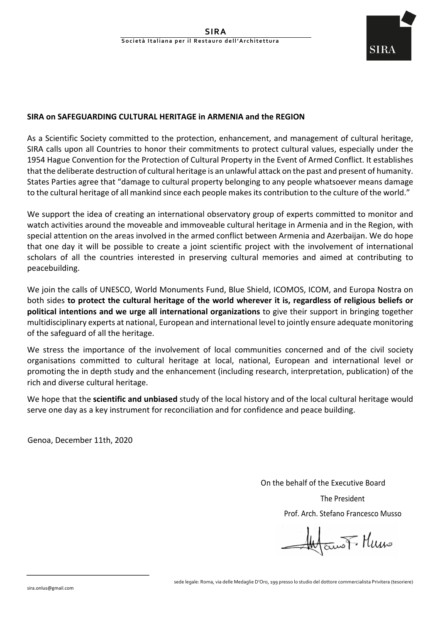

## **SIRA on SAFEGUARDING CULTURAL HERITAGE in ARMENIA and the REGION**

As a Scientific Society committed to the protection, enhancement, and management of cultural heritage, SIRA calls upon all Countries to honor their commitments to protect cultural values, especially under the 1954 Hague Convention for the Protection of Cultural Property in the Event of Armed Conflict. It establishes that the deliberate destruction of cultural heritage is an unlawful attack on the past and present of humanity. States Parties agree that "damage to cultural property belonging to any people whatsoever means damage to the cultural heritage of all mankind since each people makes its contribution to the culture of the world."

We support the idea of creating an international observatory group of experts committed to monitor and watch activities around the moveable and immoveable cultural heritage in Armenia and in the Region, with special attention on the areas involved in the armed conflict between Armenia and Azerbaijan. We do hope that one day it will be possible to create a joint scientific project with the involvement of international scholars of all the countries interested in preserving cultural memories and aimed at contributing to peacebuilding. 

We ioin the calls of UNESCO, World Monuments Fund, Blue Shield, ICOMOS, ICOM, and Europa Nostra on both sides to protect the cultural heritage of the world wherever it is, regardless of religious beliefs or **political intentions and we urge all international organizations** to give their support in bringing together multidisciplinary experts at national, European and international level to jointly ensure adequate monitoring of the safeguard of all the heritage.

We stress the importance of the involvement of local communities concerned and of the civil society organisations committed to cultural heritage at local, national, European and international level or promoting the in depth study and the enhancement (including research, interpretation, publication) of the rich and diverse cultural heritage.

We hope that the **scientific and unbiased** study of the local history and of the local cultural heritage would serve one day as a key instrument for reconciliation and for confidence and peace building.

Genoa, December 11th, 2020

On the behalf of the Executive Board

The President Prof. Arch. Stefano Francesco Musso

EuroF Humo